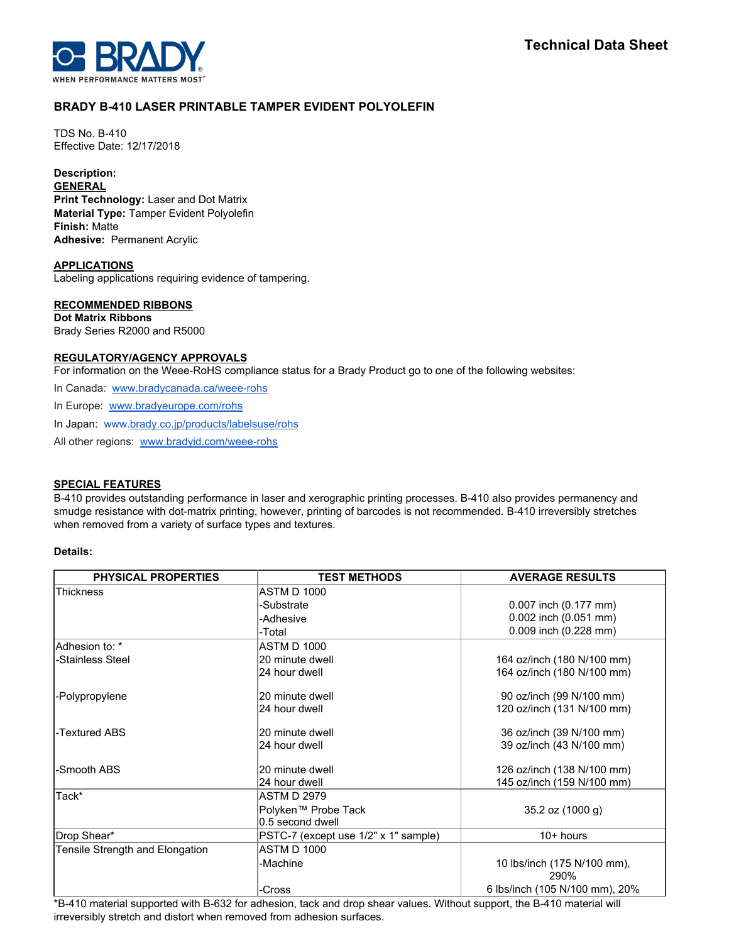

# **BRADY B-410 LASER PRINTABLE TAMPER EVIDENT POLYOLEFIN**

TDS No. B-410 Effective Date: 12/17/2018

# **Description:**

**GENERAL Print Technology:** Laser and Dot Matrix **Material Type:** Tamper Evident Polyolefin **Finish:** Matte **Adhesive:** Permanent Acrylic

**APPLICATIONS**

Labeling applications requiring evidence of tampering.

# **RECOMMENDED RIBBONS**

**Dot Matrix Ribbons** Brady Series R2000 and R5000

# **REGULATORY/AGENCY APPROVALS**

For information on the Weee-RoHS compliance status for a Brady Product go to one of the following websites:

In Canada: [www.bradycanada.ca/weee-rohs](http://www.bradycanada.ca/weee-rohs)

In Europe: [www.bradyeurope.com/rohs](http://www.bradyeurope.com/rohs)

In Japan: www.[brady.co.jp/products/labelsuse/rohs](https://brady.co.jp/products/labelsuse/rohs)

All other regions: [www.bradyid.com/weee-rohs](http://www.bradyid.com/weee-rohs)

#### **SPECIAL FEATURES**

B-410 provides outstanding performance in laser and xerographic printing processes. B-410 also provides permanency and smudge resistance with dot-matrix printing, however, printing of barcodes is not recommended. B-410 irreversibly stretches when removed from a variety of surface types and textures.

# **Details:**

| <b>PHYSICAL PROPERTIES</b>      | <b>TEST METHODS</b>                  | <b>AVERAGE RESULTS</b>              |
|---------------------------------|--------------------------------------|-------------------------------------|
| <b>Thickness</b>                | <b>ASTM D 1000</b>                   |                                     |
|                                 | -Substrate                           | 0.007 inch (0.177 mm)               |
|                                 | -Adhesive                            | 0.002 inch (0.051 mm)               |
|                                 | -Total                               | 0.009 inch (0.228 mm)               |
| Adhesion to: *                  | <b>ASTM D 1000</b>                   |                                     |
| -Stainless Steel                | 20 minute dwell                      | 164 oz/inch (180 N/100 mm)          |
|                                 | 24 hour dwell                        | 164 oz/inch (180 N/100 mm)          |
| -Polypropylene                  | 20 minute dwell                      | 90 oz/inch (99 N/100 mm)            |
|                                 | 24 hour dwell                        | 120 oz/inch (131 N/100 mm)          |
| -Textured ABS                   | 20 minute dwell                      | 36 oz/inch (39 N/100 mm)            |
|                                 | 24 hour dwell                        | 39 oz/inch (43 N/100 mm)            |
| -Smooth ABS                     | 20 minute dwell                      | 126 oz/inch (138 N/100 mm)          |
|                                 | 24 hour dwell                        | 145 oz/inch (159 N/100 mm)          |
| Tack*                           | <b>ASTM D 2979</b>                   |                                     |
|                                 | Polyken™ Probe Tack                  | $35.2$ oz $(1000q)$                 |
|                                 | 0.5 second dwell                     |                                     |
| Drop Shear*                     | PSTC-7 (except use 1/2" x 1" sample) | $10+$ hours                         |
| Tensile Strength and Elongation | <b>ASTM D 1000</b>                   |                                     |
|                                 | -Machine                             | 10 lbs/inch (175 N/100 mm),<br>290% |
|                                 | -Cross                               | 6 lbs/inch (105 N/100 mm), 20%      |

\*B-410 material supported with B-632 for adhesion, tack and drop shear values. Without support, the B-410 material will irreversibly stretch and distort when removed from adhesion surfaces.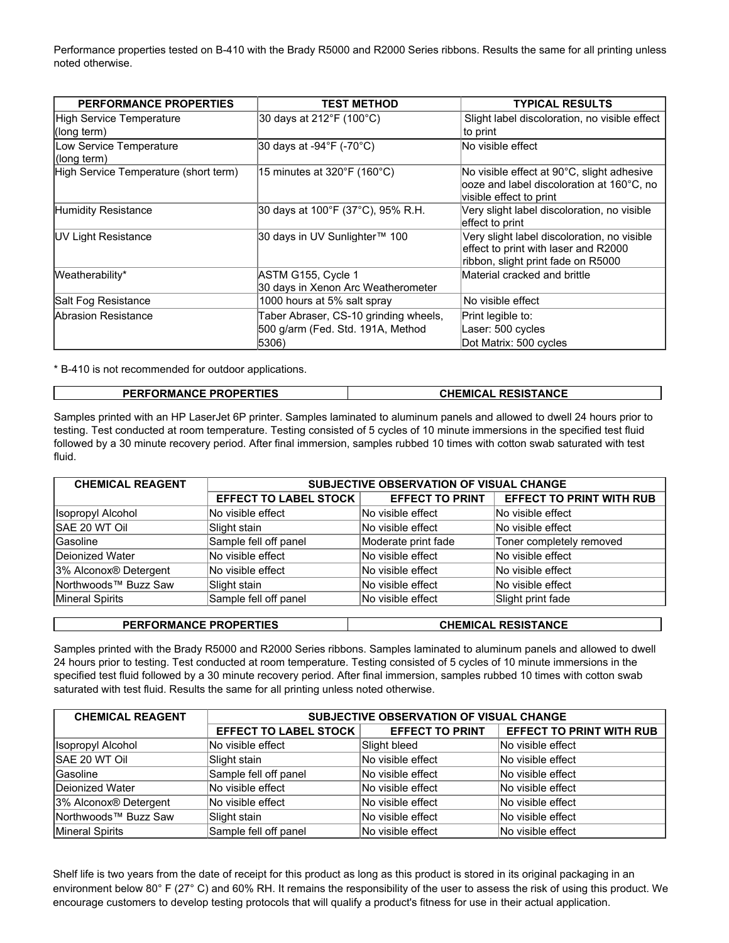Performance properties tested on B-410 with the Brady R5000 and R2000 Series ribbons. Results the same for all printing unless noted otherwise.

| <b>PERFORMANCE PROPERTIES</b>           | <b>TEST METHOD</b>                                                                  | <b>TYPICAL RESULTS</b>                                                                                                    |
|-----------------------------------------|-------------------------------------------------------------------------------------|---------------------------------------------------------------------------------------------------------------------------|
| High Service Temperature<br>(long term) | 30 days at 212°F (100°C)                                                            | Slight label discoloration, no visible effect<br>to print                                                                 |
| Low Service Temperature<br>(long term)  | 30 days at -94 $\degree$ F (-70 $\degree$ C)                                        | lNo visible effect                                                                                                        |
| High Service Temperature (short term)   | 15 minutes at 320 $\degree$ F (160 $\degree$ C)                                     | No visible effect at 90°C, slight adhesive<br>looze and label discoloration at 160°C, no<br>visible effect to print       |
| Humidity Resistance                     | 30 days at 100°F (37°C), 95% R.H.                                                   | Very slight label discoloration, no visible<br>effect to print                                                            |
| <b>IUV Light Resistance</b>             | 30 days in UV Sunlighter™ 100                                                       | Very slight label discoloration, no visible<br>effect to print with laser and R2000<br>ribbon, slight print fade on R5000 |
| Weatherability*                         | ASTM G155, Cycle 1<br>30 days in Xenon Arc Weatherometer                            | Material cracked and brittle                                                                                              |
| Salt Fog Resistance                     | 1000 hours at 5% salt spray                                                         | No visible effect                                                                                                         |
| Abrasion Resistance                     | Taber Abraser, CS-10 grinding wheels,<br>500 g/arm (Fed. Std. 191A, Method<br>5306) | Print legible to:<br>Laser: 500 cycles<br>Dot Matrix: 500 cycles                                                          |

\* B-410 is not recommended for outdoor applications.

| <b>PERFORMANCE PROPERTIES</b> | <b>CHEMICAL RESISTANCE</b> |
|-------------------------------|----------------------------|
|-------------------------------|----------------------------|

Samples printed with an HP LaserJet 6P printer. Samples laminated to aluminum panels and allowed to dwell 24 hours prior to testing. Test conducted at room temperature. Testing consisted of 5 cycles of 10 minute immersions in the specified test fluid followed by a 30 minute recovery period. After final immersion, samples rubbed 10 times with cotton swab saturated with test fluid.

| <b>CHEMICAL REAGENT</b>           | SUBJECTIVE OBSERVATION OF VISUAL CHANGE |                        |                                 |
|-----------------------------------|-----------------------------------------|------------------------|---------------------------------|
|                                   | <b>EFFECT TO LABEL STOCK</b>            | <b>EFFECT TO PRINT</b> | <b>EFFECT TO PRINT WITH RUB</b> |
| <b>Isopropyl Alcohol</b>          | No visible effect                       | No visible effect      | No visible effect               |
| SAE 20 WT Oil                     | Slight stain                            | No visible effect      | No visible effect               |
| <b>Gasoline</b>                   | Sample fell off panel                   | Moderate print fade    | Toner completely removed        |
| Deionized Water                   | No visible effect                       | No visible effect      | No visible effect               |
| 3% Alconox <sup>®</sup> Detergent | No visible effect                       | No visible effect      | No visible effect               |
| Northwoods <sup>™</sup> Buzz Saw  | Slight stain                            | No visible effect      | No visible effect               |
| Mineral Spirits                   | Sample fell off panel                   | No visible effect      | Slight print fade               |

# **PERFORMANCE PROPERTIES CHEMICAL RESISTANCE**

Samples printed with the Brady R5000 and R2000 Series ribbons. Samples laminated to aluminum panels and allowed to dwell 24 hours prior to testing. Test conducted at room temperature. Testing consisted of 5 cycles of 10 minute immersions in the specified test fluid followed by a 30 minute recovery period. After final immersion, samples rubbed 10 times with cotton swab saturated with test fluid. Results the same for all printing unless noted otherwise.

| <b>CHEMICAL REAGENT</b>           | SUBJECTIVE OBSERVATION OF VISUAL CHANGE |                        |                                 |
|-----------------------------------|-----------------------------------------|------------------------|---------------------------------|
|                                   | <b>EFFECT TO LABEL STOCK</b>            | <b>EFFECT TO PRINT</b> | <b>EFFECT TO PRINT WITH RUB</b> |
| <b>Isopropyl Alcohol</b>          | No visible effect                       | Slight bleed           | No visible effect               |
| SAE 20 WT Oil                     | Slight stain                            | No visible effect      | No visible effect               |
| <b>Gasoline</b>                   | Sample fell off panel                   | No visible effect      | No visible effect               |
| Deionized Water                   | No visible effect                       | No visible effect      | No visible effect               |
| 3% Alconox <sup>®</sup> Detergent | No visible effect                       | No visible effect      | No visible effect               |
| Northwoods <sup>™</sup> Buzz Saw  | Slight stain                            | No visible effect      | No visible effect               |
| Mineral Spirits                   | Sample fell off panel                   | No visible effect      | No visible effect               |

Shelf life is two years from the date of receipt for this product as long as this product is stored in its original packaging in an environment below 80° F (27° C) and 60% RH. It remains the responsibility of the user to assess the risk of using this product. We encourage customers to develop testing protocols that will qualify a product's fitness for use in their actual application.